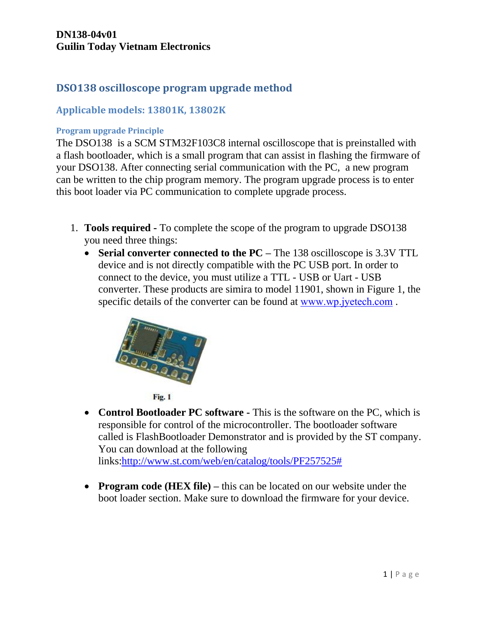# **DSO138 oscilloscope program upgrade method**

### **Applicable models: 13801K, 13802K**

#### **Program upgrade Principle**

The DSO138 is a SCM STM32F103C8 internal oscilloscope that is preinstalled with a flash bootloader, which is a small program that can assist in flashing the firmware of your DSO138. After connecting serial communication with the PC, a new program can be written to the chip program memory. The program upgrade process is to enter this boot loader via PC communication to complete upgrade process.

- 1. **Tools required -** To complete the scope of the program to upgrade DSO138 you need three things:
	- **Serial converter connected to the PC –** The 138 oscilloscope is 3.3V TTL device and is not directly compatible with the PC USB port. In order to connect to the device, you must utilize a TTL - USB or Uart - USB converter. These products are simira to model 11901, shown in Figure 1, the specific details of the converter can be found at [www.wp.jyetech.com](https://translate.googleusercontent.com/translate_c?depth=1&hl=en&rurl=translate.google.com&sl=zh-CN&tl=en&u=http://www.wp.jyetech.com/&usg=ALkJrhhpxBJu-BEFh_3VY9CuUnYzW8O7sA) .





• **Control Bootloader PC software** - This is the software on the PC, which is responsible for control of the microcontroller. The bootloader software called is FlashBootloader Demonstrator and is provided by the ST company. You can download at the following

links[:http://www.st.com/web/en/catalog/tools/PF257525#](https://translate.googleusercontent.com/translate_c?depth=1&hl=en&rurl=translate.google.com&sl=zh-CN&tl=en&u=http://www.st.com/web/en/catalog/tools/PF257525&usg=ALkJrhhRSaISEla3yLe4nBN-kXcKiG65HQ)

 **Program code (HEX file) –** this can be located on our website under the boot loader section. Make sure to download the firmware for your device.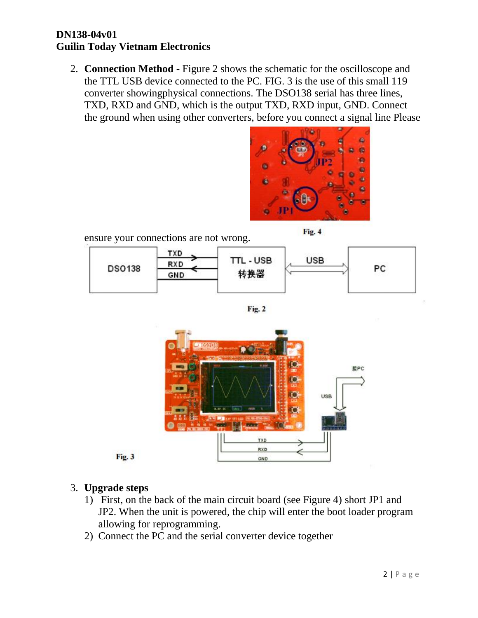2. **Connection Method -** Figure 2 shows the schematic for the oscilloscope and the TTL USB device connected to the PC. FIG. 3 is the use of this small 119 converter showingphysical connections. The DSO138 serial has three lines, TXD, RXD and GND, which is the output TXD, RXD input, GND. Connect the ground when using other converters, before you connect a signal line Please









### 3. **Upgrade steps**

- 1) First, on the back of the main circuit board (see Figure 4) short JP1 and JP2. When the unit is powered, the chip will enter the boot loader program allowing for reprogramming.
- 2) Connect the PC and the serial converter device together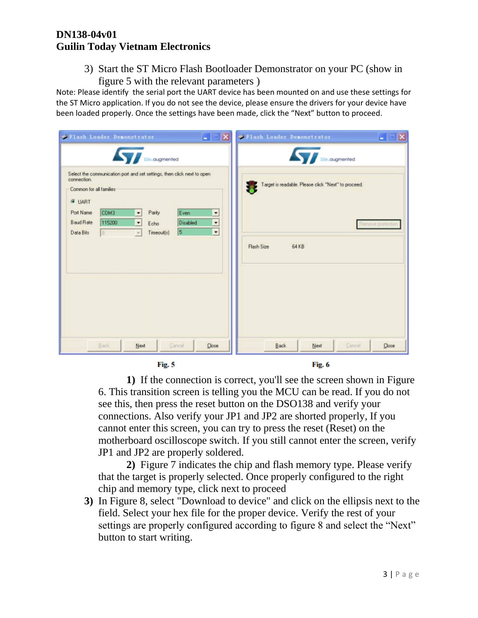3) Start the ST Micro Flash Bootloader Demonstrator on your PC (show in figure 5 with the relevant parameters )

Note: Please identify the serial port the UART device has been mounted on and use these settings for the ST Micro application. If you do not see the device, please ensure the drivers for your device have been loaded properly. Once the settings have been made, click the "Next" button to proceed.

| $\blacksquare$ $\blacksquare$ $\blacksquare$<br>Flash Loader Demonstrator                                                                                                                                                                                                                                                           | $\Box X$<br>Flash Loader Demonstrator<br>۰                               |  |  |  |
|-------------------------------------------------------------------------------------------------------------------------------------------------------------------------------------------------------------------------------------------------------------------------------------------------------------------------------------|--------------------------------------------------------------------------|--|--|--|
| <b>Avenue Avenue de la Contraction de la Contraction de la Contraction de la Contraction de la Contraction de la Contraction de la Contraction de la Contraction de la Contraction de la Contraction de la Contraction de la Con</b>                                                                                                | <b>Avenue Manual</b>                                                     |  |  |  |
| Select the communication port and set settings, then click next to open<br>connection.<br>Common for all families:<br><b>E LIART</b><br>COM3<br>Port Name<br>Even<br>Parity<br>$\mathbf{r}$<br>$\overline{\phantom{a}}$<br><b>Baud Rate</b><br>115200<br><b>Disabled</b><br>$\overline{\phantom{a}}$<br>$\vert \cdot \vert$<br>Echo | Target is readable. Please click "Next" to proceed.<br>Remove protection |  |  |  |
| $\overline{\phantom{a}}$<br>5<br>Data Bits<br>Timeout(s)<br>$\mathcal{P}$<br>8.                                                                                                                                                                                                                                                     | Flash Size<br>64 KB                                                      |  |  |  |
| Back<br>Cancel<br>Next<br>Close<br>Fig. 5                                                                                                                                                                                                                                                                                           | Back<br>Cancel<br>Next<br>Close<br>Fig. 6                                |  |  |  |

**1)** If the connection is correct, you'll see the screen shown in Figure 6. This transition screen is telling you the MCU can be read. If you do not see this, then press the reset button on the DSO138 and verify your connections. Also verify your JP1 and JP2 are shorted properly, If you cannot enter this screen, you can try to press the reset (Reset) on the motherboard oscilloscope switch. If you still cannot enter the screen, verify JP1 and JP2 are properly soldered.

**2)** Figure 7 indicates the chip and flash memory type. Please verify that the target is properly selected. Once properly configured to the right chip and memory type, click next to proceed

**3)** In Figure 8, select "Download to device" and click on the ellipsis next to the field. Select your hex file for the proper device. Verify the rest of your settings are properly configured according to figure 8 and select the "Next" button to start writing.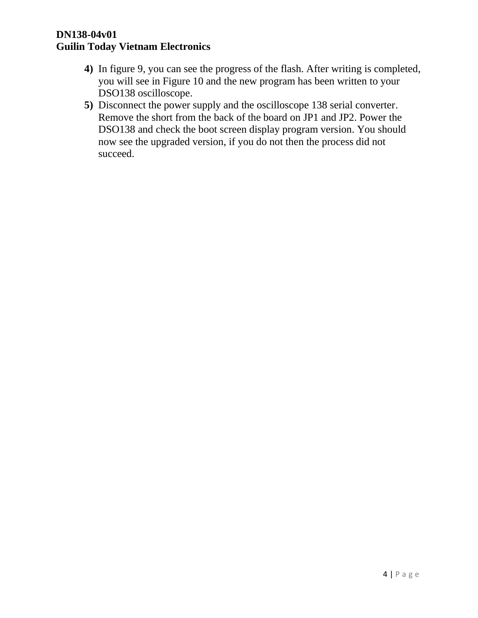- **4)** In figure 9, you can see the progress of the flash. After writing is completed, you will see in Figure 10 and the new program has been written to your DSO138 oscilloscope.
- **5)** Disconnect the power supply and the oscilloscope 138 serial converter. Remove the short from the back of the board on JP1 and JP2. Power the DSO138 and check the boot screen display program version. You should now see the upgraded version, if you do not then the process did not succeed.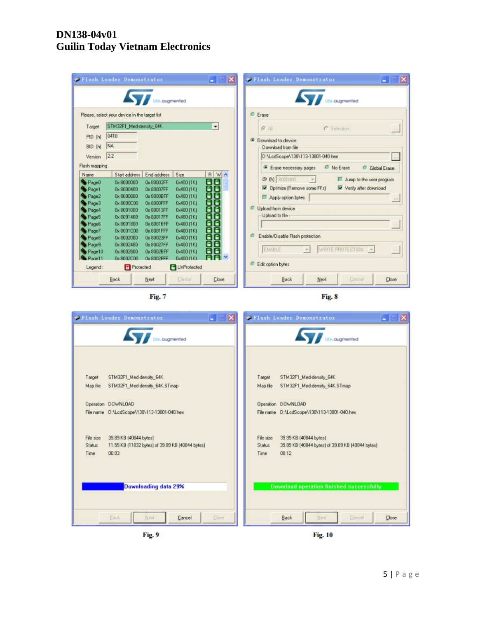|                   | Flash Loader Demonstrator                     |                                     |                          | $\vert x \vert$<br>H.    |        | Flash Loader Demonstrator         |                                   |                          | $\mathbb{R}$<br>н   |
|-------------------|-----------------------------------------------|-------------------------------------|--------------------------|--------------------------|--------|-----------------------------------|-----------------------------------|--------------------------|---------------------|
|                   |                                               | <b>AND Interactional Properties</b> |                          |                          |        |                                   | <b>Alle cugmented</b>             |                          |                     |
|                   | Please, select your device in the target list |                                     |                          |                          |        | <b>C</b> Erase                    |                                   |                          |                     |
| Target            | STM32F1_Med-density_64K                       |                                     |                          | $\blacktriangledown$     |        | $G$ All                           | C Selection                       |                          |                     |
| PID (h)           | 0410                                          |                                     |                          |                          |        |                                   |                                   |                          |                     |
| BID (h)           | NA                                            |                                     |                          |                          | G.     | Download to device                |                                   |                          |                     |
|                   |                                               |                                     |                          |                          |        | Download from file                |                                   |                          |                     |
| Version           | 2.2                                           |                                     |                          |                          |        | D:\LodScope\138\113-13801-040.hex |                                   |                          | 100                 |
| Flash mapping     |                                               |                                     |                          |                          |        | Erase necessary pages             | No Erase                          |                          | <b>Global Erase</b> |
| Name              | Start address                                 | End address                         | Size                     | R W ^                    |        | @ (h) 8000000                     | $\left  \frac{1}{2} \right $<br>п | Jump to the user program |                     |
| Page <sub>0</sub> | 0x 8000000                                    | 0x 80003FF                          | 0x400 [1K]               | <b>OOO</b><br>OOO        |        | Delimize [Remove some FFs]        |                                   | Verify after download    |                     |
| Page1             | 0x 8000400                                    | 0x 80007FF                          | 0x400 [1K]               |                          |        |                                   |                                   |                          |                     |
| Page2             | 0x8000800                                     | 0x 8000BFF                          | 0x400 [1K]               |                          |        | Apply option bytes                |                                   |                          | $1\times1$          |
| Page3<br>Page4    | 0x8000C00<br>0x 8001000                       | 0x 8000FFF<br>0x 80013FF            | 0x400 [1K]<br>0x400 [1K] |                          |        | Upload from device                |                                   |                          |                     |
| Page5             | 0x 8001400                                    | 0x 80017FF                          | 0x400 [1K]               | ăă<br>Ob                 |        | Upload to file                    |                                   |                          |                     |
| Page6             | 0x8001800                                     | 0x 8001BFF                          | 0x400 [1K]               |                          |        |                                   |                                   |                          |                     |
| Page7             | 0x8001C00                                     | 0x 8001 FFF                         | 0x400 (1K)               |                          |        |                                   |                                   |                          |                     |
| Page8             | 0x8002000                                     | 0x 80023FF                          | 0x400 [1K]               |                          |        | Enable/Disable Flash protection   |                                   |                          |                     |
| Page9             | 0x8002400                                     | 0x 80027FF                          | 0x400 (1K)               |                          |        |                                   |                                   |                          |                     |
| Page10            | 0x8002800                                     | 0x 8002BFF                          | 0x400 (1K)               | nd<br>Belg               |        | ENABLE                            | WRITE PROTECTION<br>$\sim$        | $\overline{\phantom{a}}$ |                     |
| Page11            | 0x8002C00                                     | 0x 8002FFF                          | 0x400 (1K)               | AA ×                     |        |                                   |                                   |                          |                     |
| Legend:           | Protected                                     |                                     | UnProtected              |                          |        | Edit option bytes                 |                                   |                          |                     |
|                   | <b>Back</b>                                   | Next                                | Cancel                   | Close                    |        | Back.                             | Next                              | Cancel                   | Close               |
|                   | Fig. 7                                        |                                     |                          |                          | Fig. 8 |                                   |                                   |                          |                     |
|                   |                                               |                                     |                          | <b>Contract Contract</b> |        |                                   |                                   |                          | <b>CONTRACTOR</b>   |



Fig. 9

**Fig. 10**